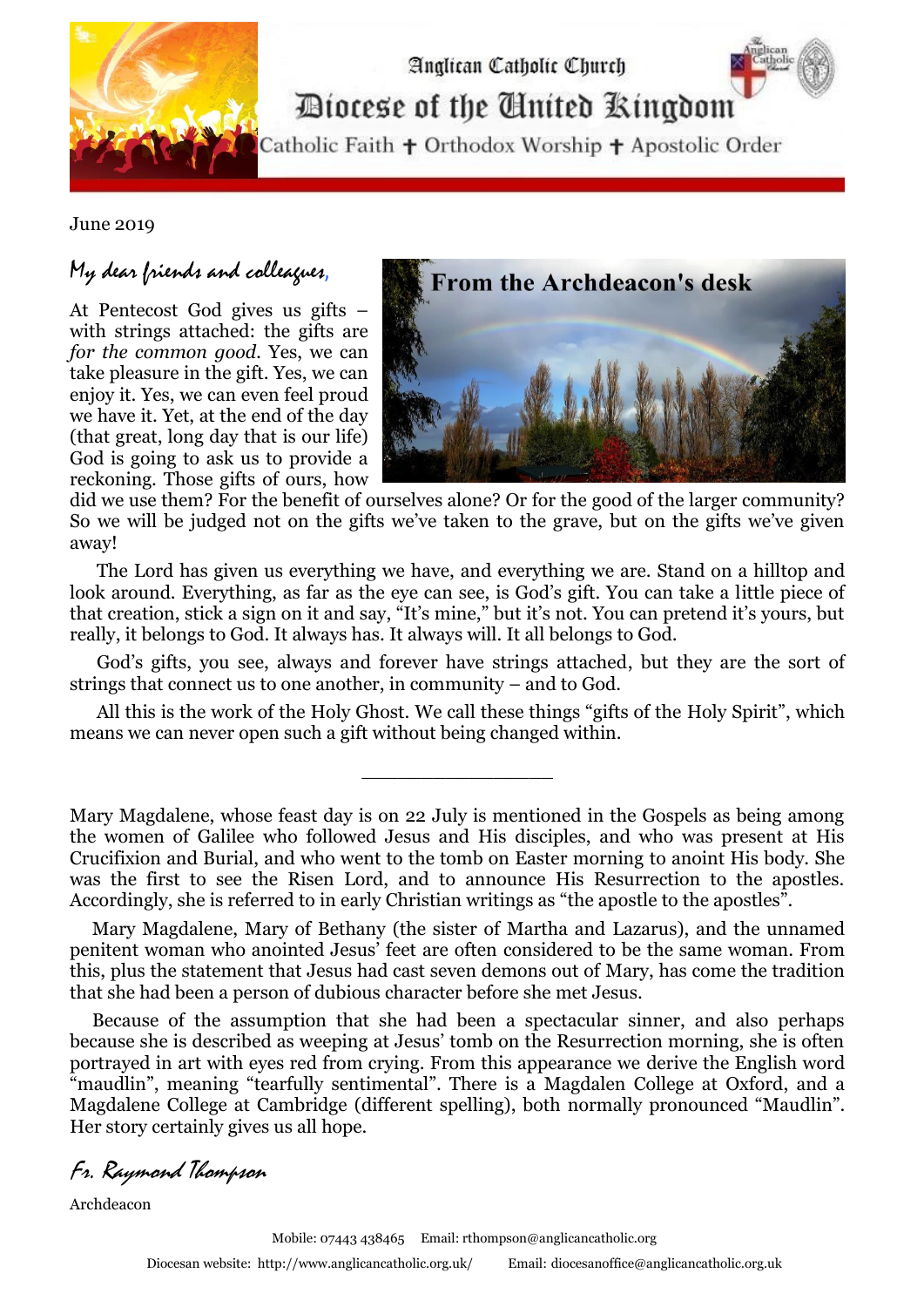

Diocese of the Cinited Ringdom

Analican Catholic Church

Catholic Faith + Orthodox Worship + Apostolic Order

June 2019

## My dear friends and colleagues,

At Pentecost God gives us gifts – with strings attached: the gifts are *for the common good.* Yes, we can take pleasure in the gift. Yes, we can enjoy it. Yes, we can even feel proud we have it. Yet, at the end of the day (that great, long day that is our life) God is going to ask us to provide a reckoning. Those gifts of ours, how



did we use them? For the benefit of ourselves alone? Or for the good of the larger community? So we will be judged not on the gifts we've taken to the grave, but on the gifts we've given away!

 The Lord has given us everything we have, and everything we are. Stand on a hilltop and look around. Everything, as far as the eye can see, is God's gift. You can take a little piece of that creation, stick a sign on it and say, "It's mine," but it's not. You can pretend it's yours, but really, it belongs to God. It always has. It always will. It all belongs to God.

 God's gifts, you see, always and forever have strings attached, but they are the sort of strings that connect us to one another, in community – and to God.

 All this is the work of the Holy Ghost. We call these things "gifts of the Holy Spirit", which means we can never open such a gift without being changed within.

\_\_\_\_\_\_\_\_\_\_\_\_\_\_\_\_

Mary Magdalene, whose feast day is on 22 July is mentioned in the Gospels as being among the women of [Galilee](http://www.fordham.edu/halsall/ancient/josephus-wara.html) who followed Jesus and His disciples, and who was present at His Crucifixion and Burial, and who went to the tomb on Easter morning to anoint His body. She was the first to see the Risen Lord, and to announce His Resurrection to the apostles. Accordingly, she is referred to in early Christian writings as "the apostle to the apostles".

 Mary Magdalene, [Mary of Bethany](http://www.xrefer.com/entry/173012) (the sister of [Martha](http://www.catholic.org/saints/saint.php?saint_id=79) and [Lazarus\)](http://www.xrefer.com/entry.jsp?xrefid=567772&secid=.-), and the unnamed penitent woman who anointed Jesus' feet are often considered to be the same woman. From this, plus the statement that Jesus had cast seven demons out of Mary, has come the tradition that she had been a person of dubious character before she met Jesus.

 Because of the assumption that she had been a spectacular sinner, and also perhaps because she is described as weeping at Jesus' tomb on the Resurrection morning, she is often portrayed in art with eyes red from crying. From this appearance we derive the English word "maudlin", meaning "tearfully sentimental". There is a [Magdalen College at Oxford,](http://www.magd.ox.ac.uk/) and a [Magdalene College at Cambridge](http://www.magd.cam.ac.uk/) (different spelling), both normally pronounced "Maudlin". Her story certainly gives us all hope.

Fr. Raymond Thompson

Archdeacon